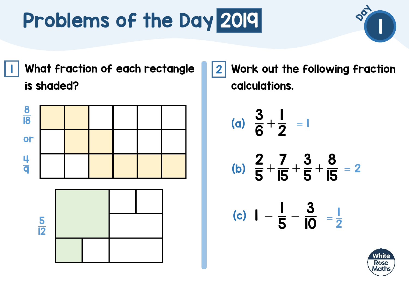I | What fraction of each rectangle ||2 is shaded?



  Work out the following fraction calculations.

(a) 
$$
\frac{3}{6} + \frac{1}{2} = 1
$$
  
\n(b)  $\frac{2}{5} + \frac{7}{15} + \frac{3}{5} + \frac{8}{15} = 2$   
\n(c)  $1 - \frac{1}{5} - \frac{3}{10} = \frac{1}{2}$ 

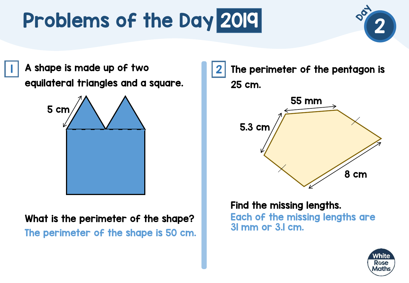A shape is made up of two 1 2 equilateral triangles and a square.



What is the perimeter of the shape? The perimeter of the shape is 50 cm.



Find the missing lengths. Each of the missing lengths are 31 mm or 3.1 cm.

![](_page_1_Picture_6.jpeg)

8 cm

2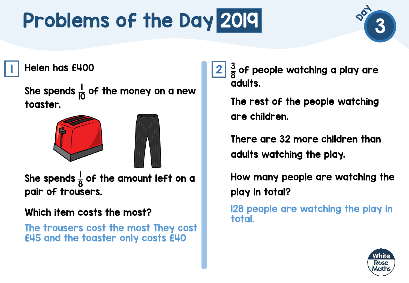![](_page_2_Picture_1.jpeg)

Helen has £400 1 2

She spends  $\frac{1}{10}$  of the money on a new toaster.

![](_page_2_Picture_4.jpeg)

She spends  $\frac{1}{6}$ 8 of the amount left on a pair of trousers.

#### Which item costs the most?

The trousers cost the most They cost £45 and the toaster only costs £40

3 8 of people watching a play are adults.

The rest of the people watching are children.

There are 32 more children than adults watching the play.

How many people are watching the play in total?

128 people are watching the play in total.

![](_page_2_Picture_13.jpeg)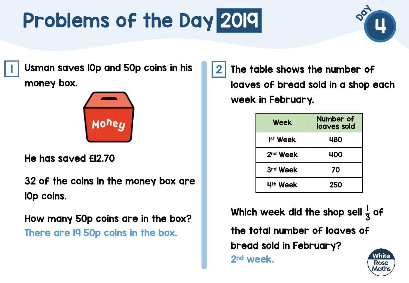![](_page_3_Picture_1.jpeg)

 $\mid \; \mid$  Usman saves l0p and 50p coins in his  $\mid \; \mid 2$ money box.

![](_page_3_Picture_3.jpeg)

He has saved £12.70

32 of the coins in the money box are 10p coins.

How many 50p coins are in the box? There are 19 50p coins in the box.

The table shows the number of loaves of bread sold in a shop each week in February.

| Week                 | <b>Number of</b><br>loaves sold |
|----------------------|---------------------------------|
| <b>Ist Week</b>      | 480                             |
| 2 <sup>nd</sup> Week | 400                             |
| 3rd Week             | 70                              |
| 4th Week             | 250                             |

Which week did the shop sell  $\frac{1}{2}$ of 3 the total number of loaves of bread sold in February? White 2nd week.Rose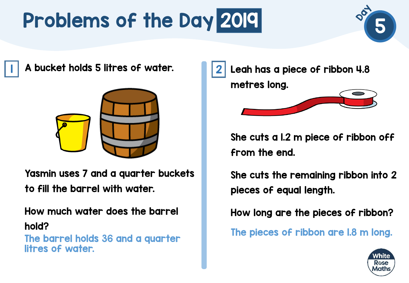![](_page_4_Picture_1.jpeg)

 $\mid \mid$  A bucket holds 5 litres of water.  $\mid \mid \mid 2$ 

![](_page_4_Picture_3.jpeg)

Yasmin uses 7 and a quarter buckets to fill the barrel with water.

How much water does the barrel hold?

The barrel holds 36 and a quarter litres of water.

Leah has a piece of ribbon 4.8 metres long.

She cuts a 1.2 m piece of ribbon off from the end.

She cuts the remaining ribbon into 2 pieces of equal length.

How long are the pieces of ribbon?

The pieces of ribbon are 1.8 m long.

![](_page_4_Picture_12.jpeg)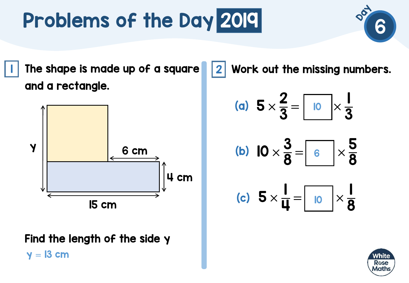$\blacksquare$  The shape is made up of a square  $\blacksquare\hspace{-0.25mm}\rule{0.7mm}{1.1mm}\hspace{0.25mm}$ and a rectangle.

![](_page_5_Figure_2.jpeg)

Find the length of the side y  $y = 13$  cm

Work out the missing numbers.

(a) 
$$
5 \times \frac{2}{3} = \boxed{10} \times \frac{1}{3}
$$

$$
(b) \quad 10 \times \frac{3}{8} = \boxed{6} \times \frac{5}{8}
$$

(c) 
$$
5 \times \frac{1}{4} = \boxed{10} \times \frac{1}{8}
$$

![](_page_5_Picture_8.jpeg)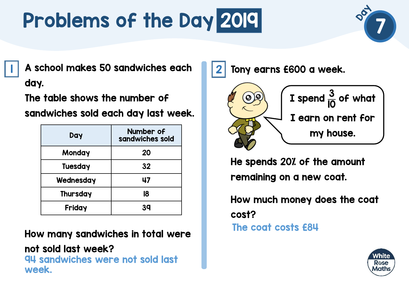![](_page_6_Picture_1.jpeg)

A school makes 50 sandwiches each 1 2 day.

The table shows the number of

sandwiches sold each day last week.

| Day            | Number of<br>sandwiches sold |
|----------------|------------------------------|
| Monday         | 20                           |
| <b>Tuesday</b> | 32                           |
| Wednesday      | 47                           |
| Thursday       | 18                           |
| Friday         | 39                           |

How many sandwiches in total were

not sold last week? 94 sandwiches were not sold last week.

Tony earns £600 a week.

![](_page_6_Figure_9.jpeg)

He spends 20% of the amount remaining on a new coat.

How much money does the coat cost? The coat costs £84

![](_page_6_Picture_12.jpeg)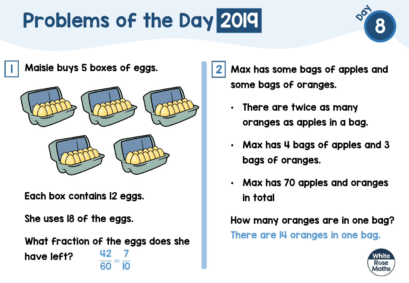![](_page_7_Picture_1.jpeg)

Maisie buys 5 boxes of eggs. 1 2

![](_page_7_Picture_3.jpeg)

![](_page_7_Picture_4.jpeg)

Each box contains 12 eggs.

She uses 18 of the eggs.

What fraction of the eggs does she have left? 42  $\frac{1}{60}$  = 7 10

Max has some bags of apples and some bags of oranges.

- There are twice as many oranges as apples in a bag.
- Max has 4 bags of apples and 3 bags of oranges.
- Max has 70 apples and oranges in total

How many oranges are in one bag? There are 14 oranges in one bag.

![](_page_7_Picture_13.jpeg)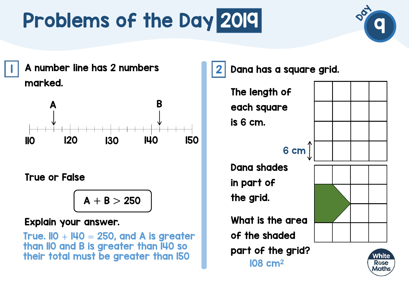![](_page_8_Picture_1.jpeg)

|| A number line has 2 numbers || 2 || 2 marked.

![](_page_8_Figure_3.jpeg)

True or False

$$
A+B>250
$$

#### Explain your answer.

True.  $IO + I40 = 250$ , and A is greater than 110 and B is greater than 140 so their total must be greater than  $150$   $\mu$ 

Dana has a square grid.

The length of each square is 6 cm.

#### 6 cm

Dana shades in part of the grid.

What is the area of the shaded part of the grid?

![](_page_8_Figure_14.jpeg)

Vhite Rose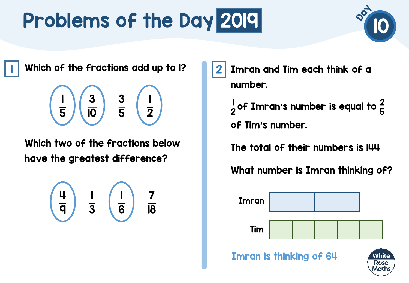![](_page_9_Picture_1.jpeg)

Rose

 $\textsf{I} \parallel$  Which of the fractions add up to I?  $\textsf{I} \parallel \textsf{2}$ 

$$
\begin{array}{|c|c|}\hline 3 & 3 & 1 \\ \hline \overline{5} & \overline{10} & \overline{5} & \overline{2} \end{array}
$$

Which two of the fractions below have the greatest difference?

$$
\begin{array}{|c|c|c|}\n\hline\n\frac{1}{3} & \begin{array}{|c|c|}\n\hline\n\frac{1}{6} & \frac{7}{18}\n\hline\n\end{array}\n\end{array}
$$

Imran and Tim each think of a number.

|<br>| 2 of Imran's number is equal to  $\frac{2}{\pi}$ 5 of Tim's number.

The total of their numbers is 144

What number is Imran thinking of?

![](_page_9_Figure_10.jpeg)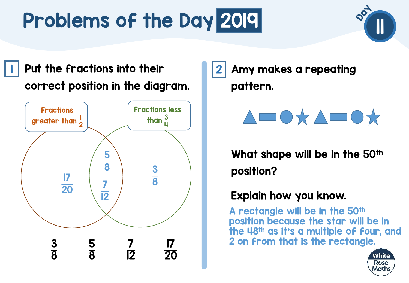**1** Put the fractions into their **1** 2 correct position in the diagram.

![](_page_10_Figure_2.jpeg)

Amy makes a repeating pattern.

![](_page_10_Picture_4.jpeg)

What shape will be in the 50<sup>th</sup> position?

#### Explain how you know.

A rectangle will be in the 50th position because the star will be in the 48th as it's a multiple of four, and 2 on from that is the rectangle.

![](_page_10_Picture_8.jpeg)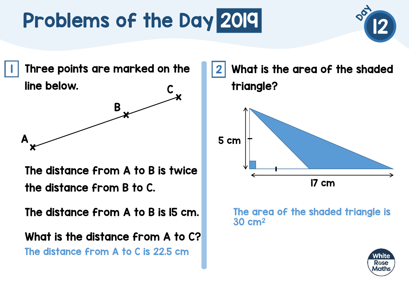![](_page_11_Picture_1.jpeg)

 $\blacksquare$  Three points are marked on the  $\blacksquare\blacksquare\blacksquare$ line below. C

![](_page_11_Figure_3.jpeg)

The distance from A to B is twice the distance from B to C.

The distance from A to B is 15 cm.

What is the distance from A to C? The distance from A to C is 22.5 cm

What is the area of the shaded triangle? 17 cm 5 cm

#### The area of the shaded triangle is 30 cm2

![](_page_11_Picture_9.jpeg)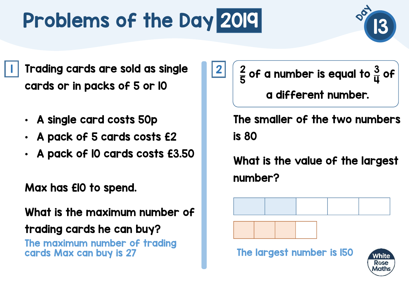I Trading cards are sold as single 2 cards or in packs of 5 or 10

- A single card costs 50p
- A pack of 5 cards costs £2
- A pack of 10 cards costs £3.50

Max has £10 to spend.

What is the maximum number of trading cards he can buy? The maximum number of trading

2 5 of a number is equal to  $\frac{3}{11}$ ц of a different number.

The smaller of the two numbers is 80

What is the value of the largest number?

![](_page_12_Figure_10.jpeg)

![](_page_12_Picture_11.jpeg)

![](_page_12_Picture_12.jpeg)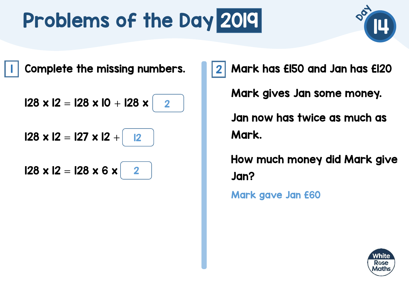![](_page_13_Picture_1.jpeg)

I Complete the missing numbers. 12

 $128 \times 12 = 128 \times 10 + 128 \times$ 2

 $128 \times 12 = 127 \times 12 +$ 12

 $128 \times 12 = 128 \times 6 \times$ 2 Mark has £150 and Jan has £120 Mark gives Jan some money. Jan now has twice as much as Mark.

How much money did Mark give Jan?

Mark gave Jan £60

![](_page_13_Picture_9.jpeg)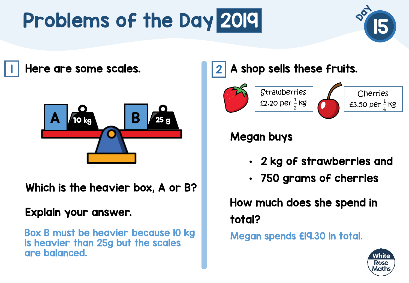![](_page_14_Picture_1.jpeg)

Here are some scales. 1 2

![](_page_14_Picture_3.jpeg)

Which is the heavier box, A or B?

#### Explain your answer.

Box B must be heavier because 10 kg is heavier than 25g but the scales are balanced.

#### A shop sells these fruits.

![](_page_14_Picture_8.jpeg)

#### Megan buys

- 2 kg of strawberries and
- 750 grams of cherries

How much does she spend in total?

Megan spends £19.30 in total.

![](_page_14_Picture_14.jpeg)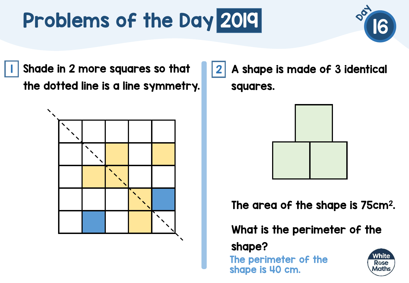![](_page_15_Picture_1.jpeg)

I Shade in 2 more squares so that III 2 the dotted line is a line symmetry.

![](_page_15_Figure_3.jpeg)

A shape is made of 3 identical squares.

![](_page_15_Figure_5.jpeg)

The area of the shape is 75cm<sup>2</sup>.

What is the perimeter of the

shape?

The perimeter of the shape is 40 cm.

![](_page_15_Picture_10.jpeg)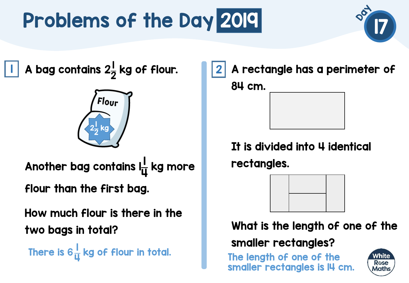![](_page_16_Picture_1.jpeg)

A bag contains  $2\frac{1}{2}$ 2  $\vert \vert$  A bag contains 2 $\frac{1}{2}$  kg of flour.  $\vert \vert \vert 2$ 

![](_page_16_Picture_3.jpeg)

Another bag contains latt 4 kg more flour than the first bag.

How much flour is there in the two bags in total?

There is 6 |<br>|<br>| 4 A rectangle has a perimeter of 84 cm.

It is divided into 4 identical rectangles.

![](_page_16_Picture_9.jpeg)

What is the length of one of the smaller rectangles?

The length of one of the smaller rectangles is 14 cm.

![](_page_16_Picture_12.jpeg)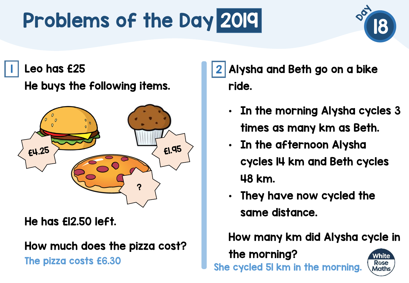# Problems of the Day 2019 2019

![](_page_17_Picture_1.jpeg)

Leo has £25 1 2

He buys the following items.

![](_page_17_Figure_4.jpeg)

He has £12.50 left.

How much does the pizza cost?

The pizza costs £6.30 She cycled 51 km in the morning.

Alysha and Beth go on a bike ride.

- In the morning Alysha cycles 3 times as many km as Beth.
- In the afternoon Alysha cycles 14 km and Beth cycles 48 km.
- They have now cycled the same distance.

How many km did Alysha cycle in

the morning?

![](_page_17_Picture_14.jpeg)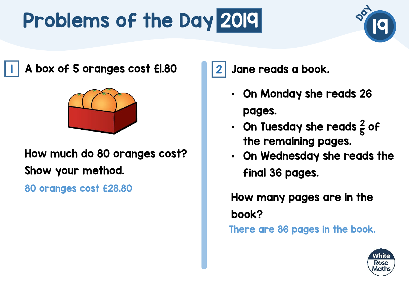![](_page_18_Picture_1.jpeg)

A box of 5 oranges cost £1.80 1 2

![](_page_18_Picture_3.jpeg)

#### How much do 80 oranges cost? Show your method.

80 oranges cost £28.80

Jane reads a book.

- On Monday she reads 26 pages.
- On Tuesday she reads  $\frac{2}{5}$ 5 of the remaining pages.
- On Wednesday she reads the final 36 pages.

How many pages are in the book? There are 86 pages in the book.

![](_page_18_Picture_11.jpeg)